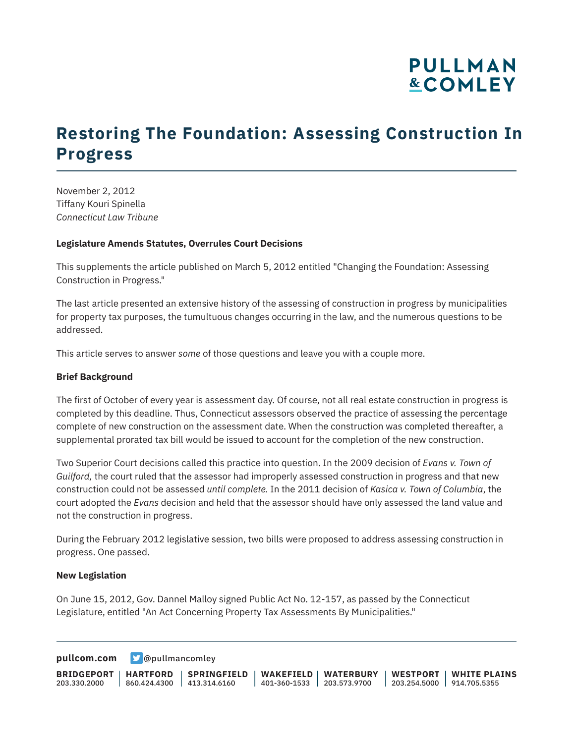## **PULLMAN &COMLEY**

## **Restoring The Foundation: Assessing Construction In Progress**

November 2, 2012 Tiffany Kouri Spinella *Connecticut Law Tribune*

#### **Legislature Amends Statutes, Overrules Court Decisions**

This supplements the article published on March 5, 2012 entitled "Changing the Foundation: Assessing Construction in Progress."

The last article presented an extensive history of the assessing of construction in progress by municipalities for property tax purposes, the tumultuous changes occurring in the law, and the numerous questions to be addressed.

This article serves to answer *some* of those questions and leave you with a couple more.

### **Brief Background**

The first of October of every year is assessment day. Of course, not all real estate construction in progress is completed by this deadline. Thus, Connecticut assessors observed the practice of assessing the percentage complete of new construction on the assessment date. When the construction was completed thereafter, a supplemental prorated tax bill would be issued to account for the completion of the new construction.

Two Superior Court decisions called this practice into question. In the 2009 decision of *Evans v. Town of Guilford,* the court ruled that the assessor had improperly assessed construction in progress and that new construction could not be assessed *until complete.* In the 2011 decision of *Kasica v. Town of Columbia*, the court adopted the *Evans* decision and held that the assessor should have only assessed the land value and not the construction in progress.

During the February 2012 legislative session, two bills were proposed to address assessing construction in progress. One passed.

#### **New Legislation**

On June 15, 2012, Gov. Dannel Malloy signed Public Act No. 12-157, as passed by the Connecticut Legislature, entitled "An Act Concerning Property Tax Assessments By Municipalities."

**[pullcom.com](https://www.pullcom.com) g** [@pullmancomley](https://twitter.com/PullmanComley)

**BRIDGEPORT HARTFORD** 203.330.2000 860.424.4300 413.314.6160 **SPRINGFIELD WAKEFIELD WATERBURY** 401-360-1533 203.573.9700 **WESTPORT WHITE PLAINS** 203.254.5000 914.705.5355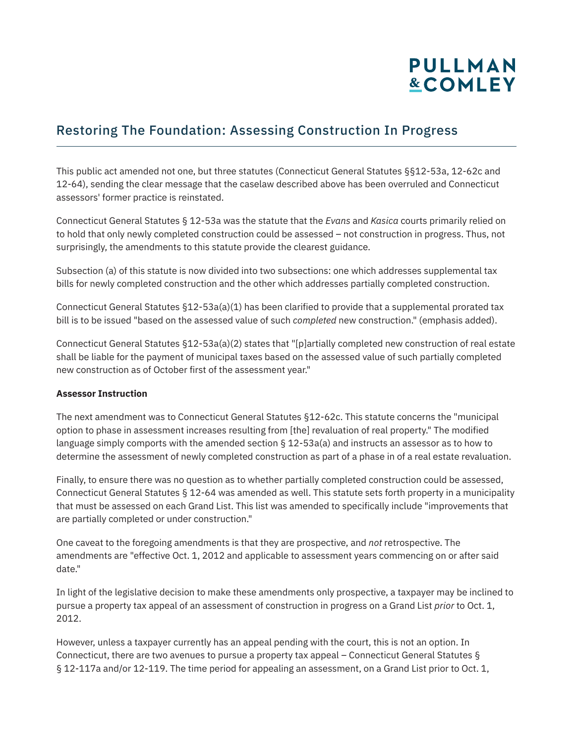# **PULLMAN &COMLEY**

## Restoring The Foundation: Assessing Construction In Progress

This public act amended not one, but three statutes (Connecticut General Statutes §§12-53a, 12-62c and 12-64), sending the clear message that the caselaw described above has been overruled and Connecticut assessors' former practice is reinstated.

Connecticut General Statutes § 12-53a was the statute that the *Evans* and *Kasica* courts primarily relied on to hold that only newly completed construction could be assessed – not construction in progress. Thus, not surprisingly, the amendments to this statute provide the clearest guidance.

Subsection (a) of this statute is now divided into two subsections: one which addresses supplemental tax bills for newly completed construction and the other which addresses partially completed construction.

Connecticut General Statutes §12-53a(a)(1) has been clarified to provide that a supplemental prorated tax bill is to be issued "based on the assessed value of such *completed* new construction." (emphasis added).

Connecticut General Statutes §12-53a(a)(2) states that "[p]artially completed new construction of real estate shall be liable for the payment of municipal taxes based on the assessed value of such partially completed new construction as of October first of the assessment year."

### **Assessor Instruction**

The next amendment was to Connecticut General Statutes §12-62c. This statute concerns the "municipal option to phase in assessment increases resulting from [the] revaluation of real property." The modified language simply comports with the amended section § 12-53a(a) and instructs an assessor as to how to determine the assessment of newly completed construction as part of a phase in of a real estate revaluation.

Finally, to ensure there was no question as to whether partially completed construction could be assessed, Connecticut General Statutes § 12-64 was amended as well. This statute sets forth property in a municipality that must be assessed on each Grand List. This list was amended to specifically include "improvements that are partially completed or under construction."

One caveat to the foregoing amendments is that they are prospective, and *not* retrospective. The amendments are "effective Oct. 1, 2012 and applicable to assessment years commencing on or after said date."

In light of the legislative decision to make these amendments only prospective, a taxpayer may be inclined to pursue a property tax appeal of an assessment of construction in progress on a Grand List *prior* to Oct. 1, 2012.

However, unless a taxpayer currently has an appeal pending with the court, this is not an option. In Connecticut, there are two avenues to pursue a property tax appeal – Connecticut General Statutes § § 12-117a and/or 12-119. The time period for appealing an assessment, on a Grand List prior to Oct. 1,